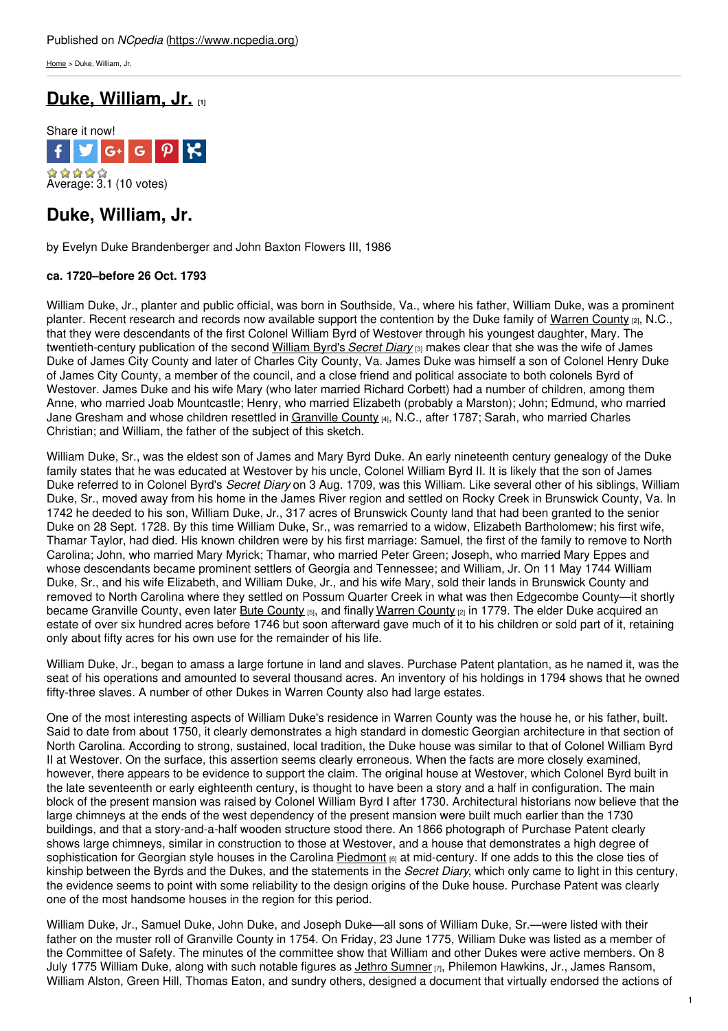[Home](https://www.ncpedia.org/) > Duke, William, Jr.

## **Duke, [William,](https://www.ncpedia.org/biography/duke-william-jr) Jr. [1]**



# **Duke, William, Jr.**

by Evelyn Duke Brandenberger and John Baxton Flowers III, 1986

### **ca. 1720–before 26 Oct. 1793**

William Duke, Jr., planter and public official, was born in Southside, Va., where his father, William Duke, was a prominent planter. Recent research and records now [available](http://www.social9.com) support the contention by the Duke family of [Warren](https://www.ncpedia.org/geography/warren) County [2], N.C., that they were descendants of the first Colonel William Byrd of Westover through his youngest daughter, Mary. The twentieth-century publication of the second [William](https://www.worldcat.org/title/secret-diary-of-william-byrd-of-westover-1709-1712/oclc/477232) Byrd's *Secret Diary* [3] makes clear that she was the wife of James Duke of James City County and later of Charles City County, Va. James Duke was himself a son of Colonel Henry Duke of James City County, a member of the council, and a close friend and political associate to both colonels Byrd of Westover. James Duke and his wife Mary (who later married Richard Corbett) had a number of children, among them Anne, who married Joab Mountcastle; Henry, who married Elizabeth (probably a Marston); John; Edmund, who married Jane Gresham and whose children resettled in [Granville](https://www.ncpedia.org/geography/granville) County [4], N.C., after 1787; Sarah, who married Charles Christian; and William, the father of the subject of this sketch.

William Duke, Sr., was the eldest son of James and Mary Byrd Duke. An early nineteenth century genealogy of the Duke family states that he was educated at Westover by his uncle, Colonel William Byrd II. It is likely that the son of James Duke referred to in Colonel Byrd's *Secret Diary* on 3 Aug. 1709, was this William. Like several other of his siblings, William Duke, Sr., moved away from his home in the James River region and settled on Rocky Creek in Brunswick County, Va. In 1742 he deeded to his son, William Duke, Jr., 317 acres of Brunswick County land that had been granted to the senior Duke on 28 Sept. 1728. By this time William Duke, Sr., was remarried to a widow, Elizabeth Bartholomew; his first wife, Thamar Taylor, had died. His known children were by his first marriage: Samuel, the first of the family to remove to North Carolina; John, who married Mary Myrick; Thamar, who married Peter Green; Joseph, who married Mary Eppes and whose descendants became prominent settlers of Georgia and Tennessee; and William, Jr. On 11 May 1744 William Duke, Sr., and his wife Elizabeth, and William Duke, Jr., and his wife Mary, sold their lands in Brunswick County and removed to North Carolina where they settled on Possum Quarter Creek in what was then Edgecombe County—it shortly became Granville [County](https://www.ncpedia.org/bute-county), even later Bute County [5], and finally [Warren](https://www.ncpedia.org/geography/warren) County [2] in 1779. The elder Duke acquired an estate of over six hundred acres before 1746 but soon afterward gave much of it to his children or sold part of it, retaining only about fifty acres for his own use for the remainder of his life.

William Duke, Jr., began to amass a large fortune in land and slaves. Purchase Patent plantation, as he named it, was the seat of his operations and amounted to several thousand acres. An inventory of his holdings in 1794 shows that he owned fifty-three slaves. A number of other Dukes in Warren County also had large estates.

One of the most interesting aspects of William Duke's residence in Warren County was the house he, or his father, built. Said to date from about 1750, it clearly demonstrates a high standard in domestic Georgian architecture in that section of North Carolina. According to strong, sustained, local tradition, the Duke house was similar to that of Colonel William Byrd II at Westover. On the surface, this assertion seems clearly erroneous. When the facts are more closely examined, however, there appears to be evidence to support the claim. The original house at Westover, which Colonel Byrd built in the late seventeenth or early eighteenth century, is thought to have been a story and a half in configuration. The main block of the present mansion was raised by Colonel William Byrd I after 1730. Architectural historians now believe that the large chimneys at the ends of the west dependency of the present mansion were built much earlier than the 1730 buildings, and that a story-and-a-half wooden structure stood there. An 1866 photograph of Purchase Patent clearly shows large chimneys, similar in construction to those at Westover, and a house that demonstrates a high degree of sophistication for Georgian style houses in the Carolina [Piedmont](https://www.ncpedia.org/geography/region/piedmont) [6] at mid-century. If one adds to this the close ties of kinship between the Byrds and the Dukes, and the statements in the *Secret Diary*, which only came to light in this century, the evidence seems to point with some reliability to the design origins of the Duke house. Purchase Patent was clearly one of the most handsome houses in the region for this period.

William Duke, Jr., Samuel Duke, John Duke, and Joseph Duke—all sons of William Duke, Sr.—were listed with their father on the muster roll of Granville County in 1754. On Friday, 23 June 1775, William Duke was listed as a member of the Committee of Safety. The minutes of the committee show that William and other Dukes were active members. On 8 July 1775 William Duke, along with such notable figures as *Jethro [Sumner](https://www.ncpedia.org/biography/sumner-jethro) [7]*, Philemon Hawkins, Jr., James Ransom, William Alston, Green Hill, Thomas Eaton, and sundry others, designed a document that virtually endorsed the actions of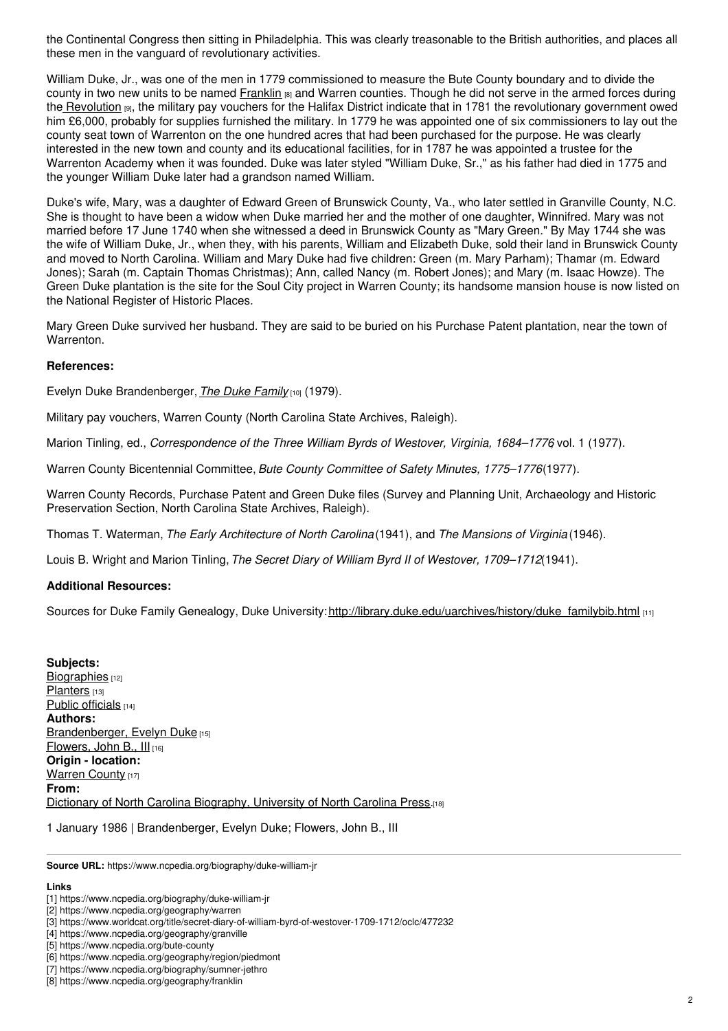the Continental Congress then sitting in Philadelphia. This was clearly treasonable to the British authorities, and places all these men in the vanguard of revolutionary activities.

William Duke, Jr., was one of the men in 1779 commissioned to measure the Bute County boundary and to divide the county in two new units to be named [Franklin](https://www.ncpedia.org/geography/franklin) [8] and Warren counties. Though he did not serve in the armed forces during the [Revolution](https://www.ncpedia.org/american-revolution) [9], the military pay vouchers for the Halifax District indicate that in 1781 the revolutionary government owed him £6,000, probably for supplies furnished the military. In 1779 he was appointed one of six commissioners to lay out the county seat town of Warrenton on the one hundred acres that had been purchased for the purpose. He was clearly interested in the new town and county and its educational facilities, for in 1787 he was appointed a trustee for the Warrenton Academy when it was founded. Duke was later styled "William Duke, Sr.," as his father had died in 1775 and the younger William Duke later had a grandson named William.

Duke's wife, Mary, was a daughter of Edward Green of Brunswick County, Va., who later settled in Granville County, N.C. She is thought to have been a widow when Duke married her and the mother of one daughter, Winnifred. Mary was not married before 17 June 1740 when she witnessed a deed in Brunswick County as "Mary Green." By May 1744 she was the wife of William Duke, Jr., when they, with his parents, William and Elizabeth Duke, sold their land in Brunswick County and moved to North Carolina. William and Mary Duke had five children: Green (m. Mary Parham); Thamar (m. Edward Jones); Sarah (m. Captain Thomas Christmas); Ann, called Nancy (m. Robert Jones); and Mary (m. Isaac Howze). The Green Duke plantation is the site for the Soul City project in Warren County; its handsome mansion house is now listed on the National Register of Historic Places.

Mary Green Duke survived her husband. They are said to be buried on his Purchase Patent plantation, near the town of Warrenton.

### **References:**

Evelyn Duke Brandenberger, *The Duke [Family](http://search.library.duke.edu/search?id=DUKE002302341)* [10] (1979).

Military pay vouchers, Warren County (North Carolina State Archives, Raleigh).

Marion Tinling, ed., *Correspondence of the Three William Byrds of Westover, Virginia, 1684–1776*, vol. 1 (1977).

Warren County Bicentennial Committee, *Bute County Committee of Safety Minutes, 1775–1776*(1977).

Warren County Records, Purchase Patent and Green Duke files (Survey and Planning Unit, Archaeology and Historic Preservation Section, North Carolina State Archives, Raleigh).

Thomas T. Waterman, *The Early Architecture of North Carolina*(1941), and *The Mansions of Virginia* (1946).

Louis B. Wright and Marion Tinling,*The Secret Diary of William Byrd II of Westover, 1709–1712*(1941).

### **Additional Resources:**

Sources for Duke Family Genealogy, Duke University:[http://library.duke.edu/uarchives/history/duke\\_familybib.html](http://library.duke.edu/uarchives/history/duke_familybib.html) [11]

**Subjects:** [Biographies](https://www.ncpedia.org/category/subjects/biography-term) [12] [Planters](https://www.ncpedia.org/category/subjects/planters) [13] Public [officials](https://www.ncpedia.org/category/subjects/public-officials) [14] **Authors:** [Brandenberger,](https://www.ncpedia.org/category/authors/brandenberger) Evelyn Duke [15] [Flowers,](https://www.ncpedia.org/category/authors/flowers-john-0) John B., III [16] **Origin - location:** [Warren](https://www.ncpedia.org/category/origin-location/piedmont-2) County [17] **From:** Dictionary of North Carolina [Biography,](https://www.ncpedia.org/category/entry-source/dictionary-no) University of North Carolina Press.[18]

1 January 1986 | Brandenberger, Evelyn Duke; Flowers, John B., III

**Source URL:** https://www.ncpedia.org/biography/duke-william-jr

#### **Links**

<sup>[1]</sup> https://www.ncpedia.org/biography/duke-william-jr

<sup>[2]</sup> https://www.ncpedia.org/geography/warren

<sup>[3]</sup> https://www.worldcat.org/title/secret-diary-of-william-byrd-of-westover-1709-1712/oclc/477232

<sup>[4]</sup> https://www.ncpedia.org/geography/granville

<sup>[5]</sup> https://www.ncpedia.org/bute-county

<sup>[6]</sup> https://www.ncpedia.org/geography/region/piedmont

<sup>[7]</sup> https://www.ncpedia.org/biography/sumner-jethro

<sup>[8]</sup> https://www.ncpedia.org/geography/franklin